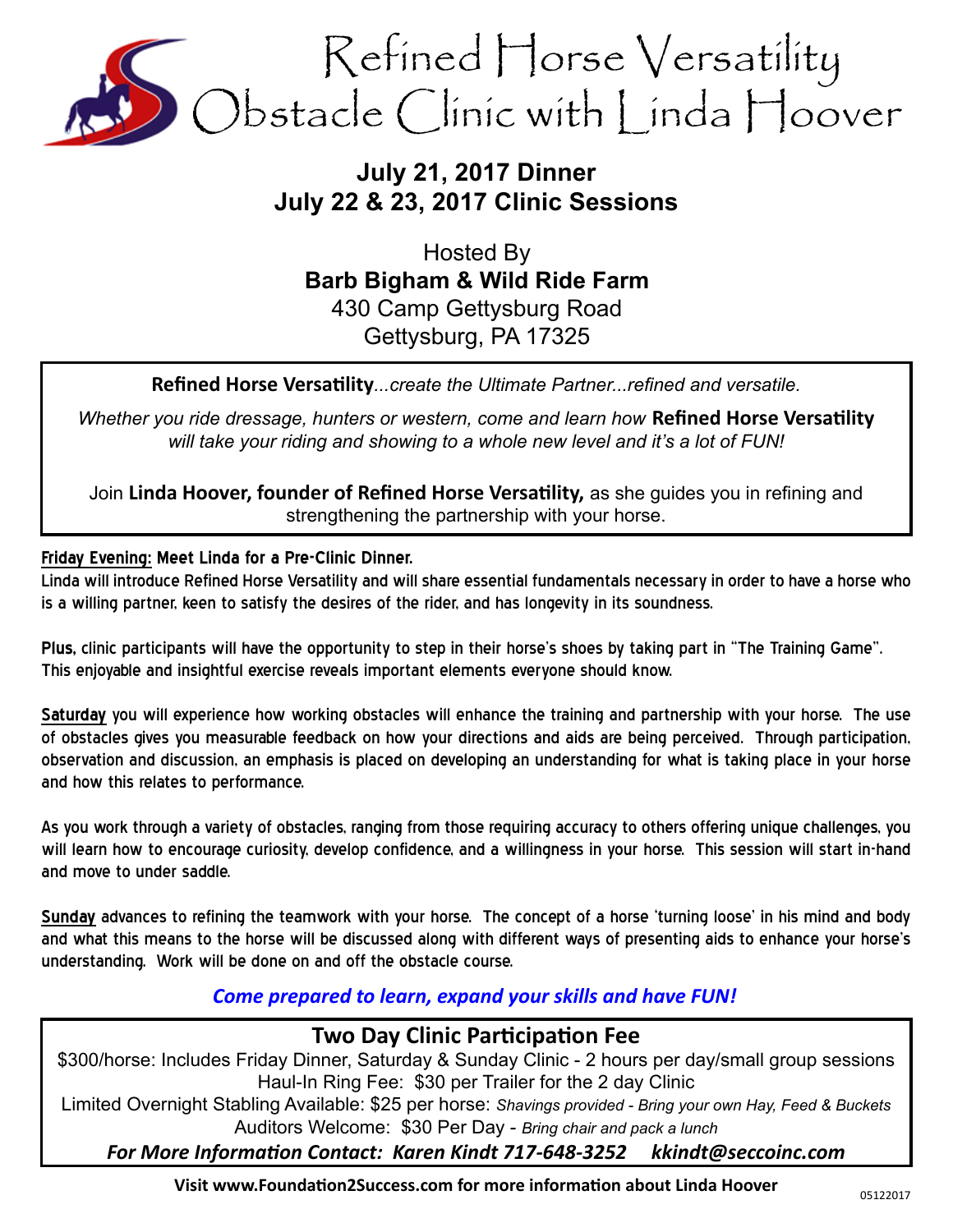

# **July 21, 2017 Dinner July 22 & 23, 2017 Clinic Sessions**

Hosted By **Barb Bigham & Wild Ride Farm** 430 Camp Gettysburg Road Gettysburg, PA 17325

**Refined Horse Versatility***...create the Ultimate Partner...refined and versatile.*

*Whether you ride dressage, hunters or western, come and learn how* **Refined Horse Versatility** *will take your riding and showing to a whole new level and it's a lot of FUN!*

Join **Linda Hoover, founder of Refined Horse Versatility,** as she guides you in refining and strengthening the partnership with your horse.

#### **Friday Evening: Meet Linda for a Pre-Clinic Dinner.**

Linda will introduce Refined Horse Versatility and will share essential fundamentals necessary in order to have a horse who is a willing partner, keen to satisfy the desires of the rider, and has longevity in its soundness.

**Plus,** clinic participants will have the opportunity to step in their horse's shoes by taking part in "The Training Game". This enjoyable and insightful exercise reveals important elements everyone should know.

**Saturday** you will experience how working obstacles will enhance the training and partnership with your horse. The use of obstacles gives you measurable feedback on how your directions and aids are being perceived. Through participation, observation and discussion, an emphasis is placed on developing an understanding for what is taking place in your horse and how this relates to performance.

As you work through a variety of obstacles, ranging from those requiring accuracy to others offering unique challenges, you will learn how to encourage curiosity, develop confidence, and a willingness in your horse. This session will start in-hand and move to under saddle.

**Sunday** advances to refining the teamwork with your horse. The concept of a horse 'turning loose' in his mind and body and what this means to the horse will be discussed along with different ways of presenting aids to enhance your horse's understanding. Work will be done on and off the obstacle course.

## *Come prepared to learn, expand your skills and have FUN!*

# **Two Day Clinic Participation Fee**

\$300/horse: Includes Friday Dinner, Saturday & Sunday Clinic - 2 hours per day/small group sessions Haul-In Ring Fee: \$30 per Trailer for the 2 day Clinic Limited Overnight Stabling Available: \$25 per horse: *Shavings provided - Bring your own Hay, Feed & Buckets*

Auditors Welcome: \$30 Per Day - *Bring chair and pack a lunch* 

*For More Information Contact: Karen Kindt 717-648-3252 kkindt@seccoinc.com*

**Visit www.Foundation2Success.com for more information about Linda Hoover**